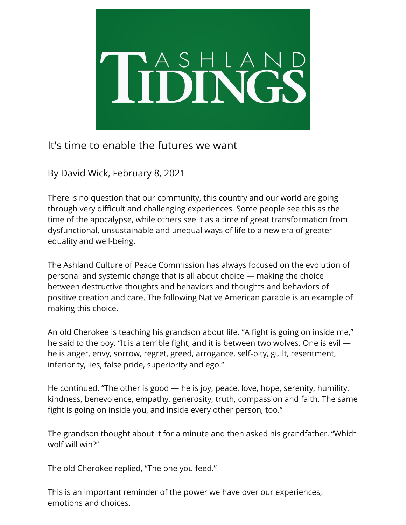

## It's time to enable the futures we want

By David Wick, February 8, 2021

There is no question that our community, this country and our world are going through very difficult and challenging experiences. Some people see this as the time of the apocalypse, while others see it as a time of great transformation from dysfunctional, unsustainable and unequal ways of life to a new era of greater equality and well-being.

The Ashland Culture of Peace Commission has always focused on the evolution of personal and systemic change that is all about choice — making the choice between destructive thoughts and behaviors and thoughts and behaviors of positive creation and care. The following Native American parable is an example of making this choice.

An old Cherokee is teaching his grandson about life. "A fight is going on inside me," he said to the boy. "It is a terrible fight, and it is between two wolves. One is evil he is anger, envy, sorrow, regret, greed, arrogance, self-pity, guilt, resentment, inferiority, lies, false pride, superiority and ego."

He continued, "The other is good — he is joy, peace, love, hope, serenity, humility, kindness, benevolence, empathy, generosity, truth, compassion and faith. The same fight is going on inside you, and inside every other person, too."

The grandson thought about it for a minute and then asked his grandfather, "Which wolf will win?"

The old Cherokee replied, "The one you feed."

This is an important reminder of the power we have over our experiences, emotions and choices.